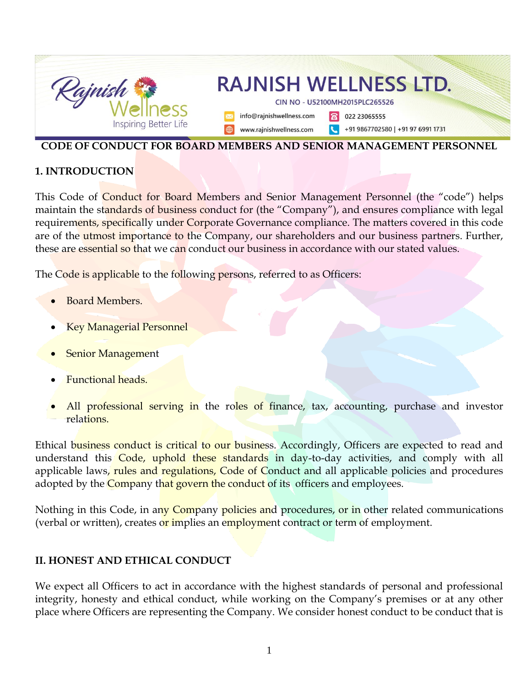

#### **CODE OF CONDUCT FOR BOARD MEMBERS AND SENIOR MANAGEMENT PERSONNEL**

#### **1. INTRODUCTION**

This Code of Conduct for Board Members and Senior Management Personnel (the "code") helps maintain the standards of business conduct for (the "Company"), and ensures compliance with legal requirements, specifically under Corporate Governance compliance. The matters covered in this code are of the utmost importance to the Company, our shareholders and our business partners. Further, these are essential so that we can conduct our business in accordance with our stated values.

The Code is applicable to the following persons, referred to as Officers:

- Board Members.
- Key Managerial Personnel
- **Senior Management**
- Functional heads.
- All professional serving in the roles of finance, tax, accounting, purchase and investor relations.

Ethical business conduct is critical to our business. Accordingly, Officers are expected to read and understand this Code, uphold these standards in day-to-day activities, and comply with all applicable laws, rules and regulations, Code of Conduct and all applicable policies and procedures adopted by the Company that govern the conduct of its officers and employees.

Nothing in this Code, in any Company policies and procedures, or in other related communications (verbal or written), creates or implies an employment contract or term of employment.

### **II. HONEST AND ETHICAL CONDUCT**

We expect all Officers to act in accordance with the highest standards of personal and professional integrity, honesty and ethical conduct, while working on the Company's premises or at any other place where Officers are representing the Company. We consider honest conduct to be conduct that is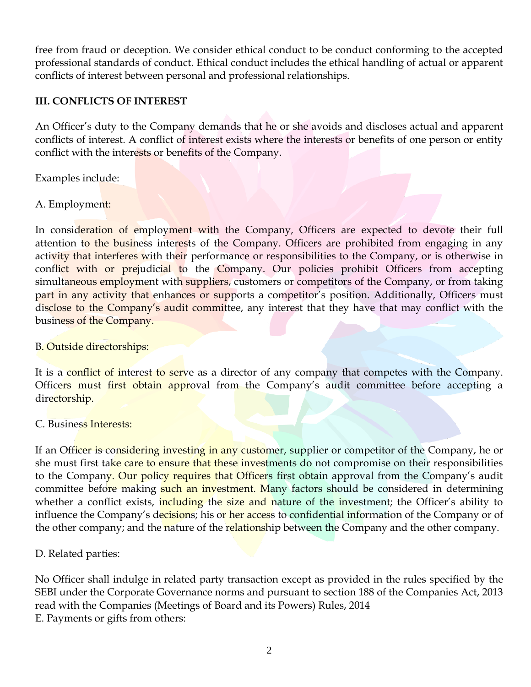free from fraud or deception. We consider ethical conduct to be conduct conforming to the accepted professional standards of conduct. Ethical conduct includes the ethical handling of actual or apparent conflicts of interest between personal and professional relationships.

### **III. CONFLICTS OF INTEREST**

An Officer's duty to the Company demands that he or she avoids and discloses actual and apparent conflicts of interest. A conflict of interest exists where the interests or benefits of one person or entity conflict with the interests or benefits of the Company.

Examples include:

### A. Employment:

In consideration of employment with the Company, Officers are expected to devote their full attention to the business interests of the Company. Officers are prohibited from engaging in any activity that interferes with their performance or responsibilities to the Company, or is otherwise in conflict with or prejudicial to the Company. Our policies prohibit Officers from accepting simultaneous employment with suppliers, customers or competitors of the Company, or from taking part in any activity that enhances or supports a competitor's position. Additionally, Officers must disclose to the Company's audit committee, any interest that they have that may conflict with the business of the Company.

B. Outside directorships:

It is a conflict of interest to serve as a director of any company that competes with the Company. Officers must first obtain approval from the Company's audit committee before accepting a directorship.

C. Business Interests:

If an Officer is considering investing in any customer, supplier or competitor of the Company, he or she must first take care to ensure that these investments do not compromise on their responsibilities to the Company. Our policy requires that Officers first obtain approval from the Company's audit committee before making such an investment. Many factors should be considered in determining whether a conflict exists, *including* the size and nature of the investment; the Officer's ability to influence the Company's decisions; his or her access to confidential information of the Company or of the other company; and the nature of the relationship between the Company and the other company.

D. Related parties:

No Officer shall indulge in related party transaction except as provided in the rules specified by the SEBI under the Corporate Governance norms and pursuant to section 188 of the Companies Act, 2013 read with the Companies (Meetings of Board and its Powers) Rules, 2014 E. Payments or gifts from others: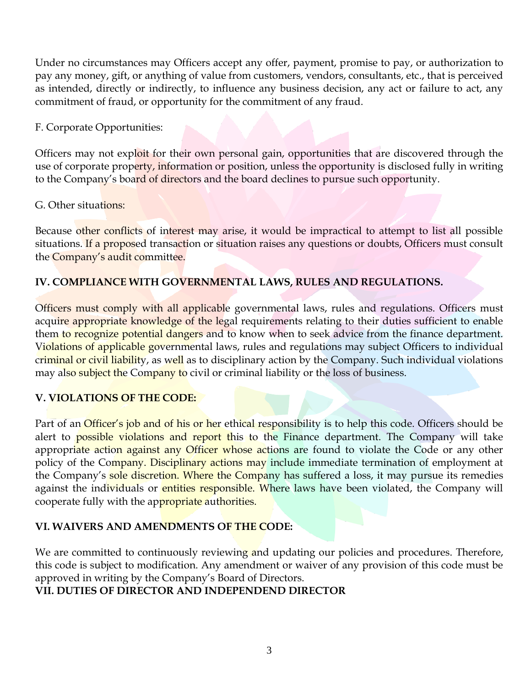Under no circumstances may Officers accept any offer, payment, promise to pay, or authorization to pay any money, gift, or anything of value from customers, vendors, consultants, etc., that is perceived as intended, directly or indirectly, to influence any business decision, any act or failure to act, any commitment of fraud, or opportunity for the commitment of any fraud.

F. Corporate Opportunities:

Officers may not exploit for their own personal gain, opportunities that are discovered through the use of corporate property, information or position, unless the opportunity is disclosed fully in writing to the Company's board of directors and the board declines to pursue such opportunity.

### G. Other situations:

Because other conflicts of interest may arise, it would be impractical to attempt to list all possible situations. If a proposed transaction or situation raises any questions or doubts, Officers must consult the Company's audit committee.

# **IV. COMPLIANCE WITH GOVERNMENTAL LAWS, RULES AND REGULATIONS.**

Officers must comply with all applicable governmental laws, rules and regulations. Officers must acquire appropriate knowledge of the legal requirements relating to their duties sufficient to enable them to recognize potential dangers and to know when to seek advice from the finance department. Violations of applicable governmental laws, rules and regulations may subject Officers to individual criminal or civil liability, as well as to disciplinary action by the Company. Such individual violations may also subject the Company to civil or criminal liability or the loss of business.

## **V. VIOLATIONS OF THE CODE:**

Part of an *Officer's job and of his or her ethical responsibility is to help this code. Officers should be* alert to **possible violations and report this to the Finance department**. The Company will take appropriate action against any Officer whose actions are found to violate the Code or any other policy of the Company. Disciplinary actions may include immediate termination of employment at the Company's sole discretion. Where the Company has suffered a loss, it may pursue its remedies against the individuals or entities responsible. Where laws have been violated, the Company will cooperate fully with the appropriate authorities.

## **VI. WAIVERS AND AMENDMENTS OF THE CODE:**

We are committed to continuously reviewing and updating our policies and procedures. Therefore, this code is subject to modification. Any amendment or waiver of any provision of this code must be approved in writing by the Company's Board of Directors.

## **VII. DUTIES OF DIRECTOR AND INDEPENDEND DIRECTOR**